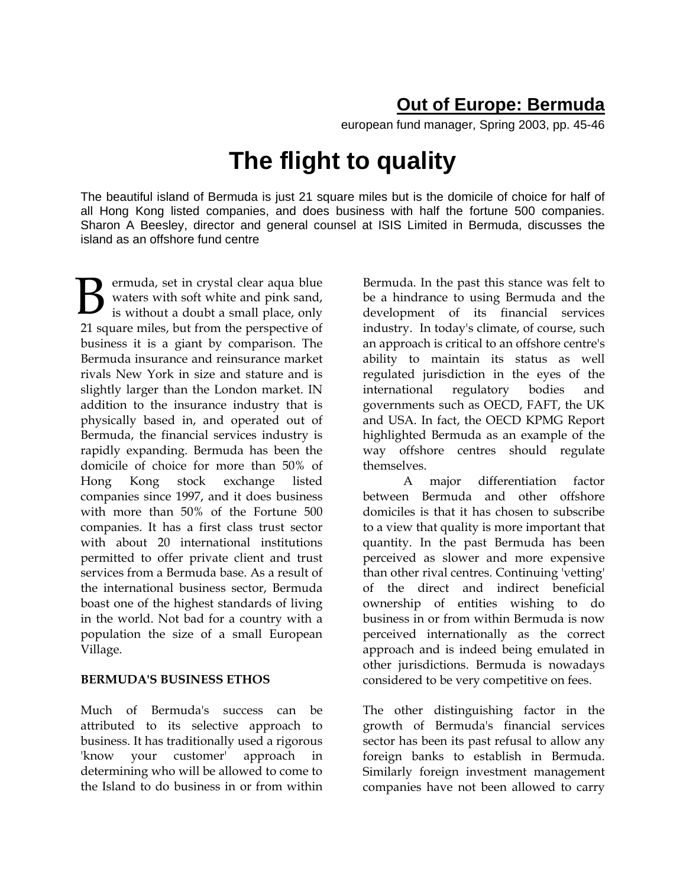## **Out of Europe: Bermuda**

european fund manager, Spring 2003, pp. 45-46

# **The flight to quality**

The beautiful island of Bermuda is just 21 square miles but is the domicile of choice for half of all Hong Kong listed companies, and does business with half the fortune 500 companies. Sharon A Beesley, director and general counsel at ISIS Limited in Bermuda, discusses the island as an offshore fund centre

ermuda, set in crystal clear aqua blue waters with soft white and pink sand, is without a doubt a small place, only 21 square miles, but from the perspective of business it is a giant by comparison. The Bermuda insurance and reinsurance market rivals New York in size and stature and is slightly larger than the London market. IN addition to the insurance industry that is physically based in, and operated out of Bermuda, the financial services industry is rapidly expanding. Bermuda has been the domicile of choice for more than 50% of Hong Kong stock exchange listed companies since 1997, and it does business with more than 50% of the Fortune 500 companies. It has a first class trust sector with about 20 international institutions permitted to offer private client and trust services from a Bermuda base. As a result of the international business sector, Bermuda boast one of the highest standards of living in the world. Not bad for a country with a population the size of a small European Village. B

#### **BERMUDA'S BUSINESS ETHOS**

Much of Bermuda's success can be attributed to its selective approach to business. It has traditionally used a rigorous 'know your customer' approach in determining who will be allowed to come to the Island to do business in or from within

Bermuda. In the past this stance was felt to be a hindrance to using Bermuda and the development of its financial services industry. In today's climate, of course, such an approach is critical to an offshore centre's ability to maintain its status as well regulated jurisdiction in the eyes of the international regulatory bodies and governments such as OECD, FAFT, the UK and USA. In fact, the OECD KPMG Report highlighted Bermuda as an example of the way offshore centres should regulate themselves.

A major differentiation factor between Bermuda and other offshore domiciles is that it has chosen to subscribe to a view that quality is more important that quantity. In the past Bermuda has been perceived as slower and more expensive than other rival centres. Continuing 'vetting' of the direct and indirect beneficial ownership of entities wishing to do business in or from within Bermuda is now perceived internationally as the correct approach and is indeed being emulated in other jurisdictions. Bermuda is nowadays considered to be very competitive on fees.

The other distinguishing factor in the growth of Bermuda's financial services sector has been its past refusal to allow any foreign banks to establish in Bermuda. Similarly foreign investment management companies have not been allowed to carry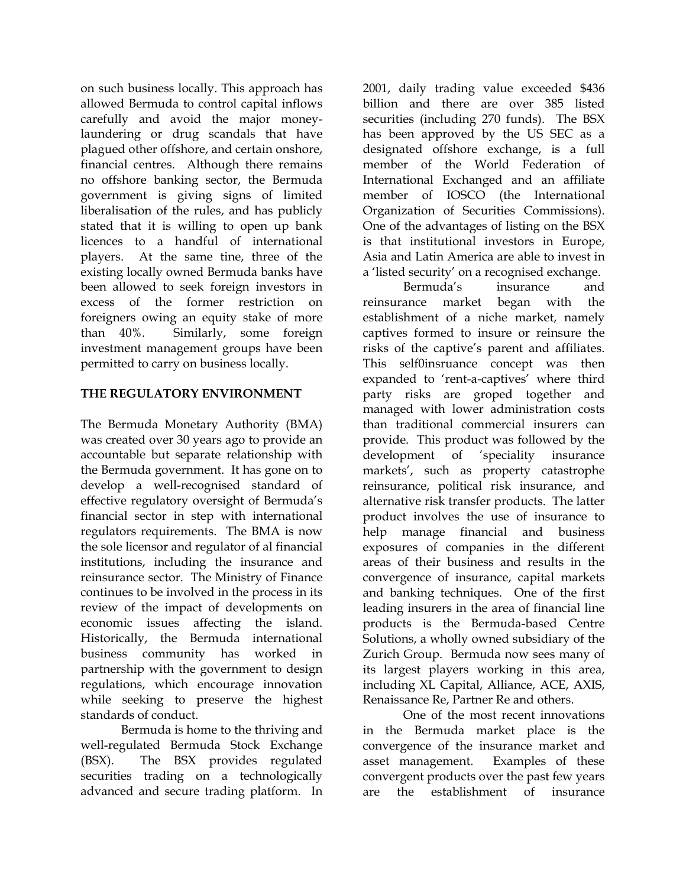on such business locally. This approach has allowed Bermuda to control capital inflows carefully and avoid the major moneylaundering or drug scandals that have plagued other offshore, and certain onshore, financial centres. Although there remains no offshore banking sector, the Bermuda government is giving signs of limited liberalisation of the rules, and has publicly stated that it is willing to open up bank licences to a handful of international players. At the same tine, three of the existing locally owned Bermuda banks have been allowed to seek foreign investors in excess of the former restriction on foreigners owing an equity stake of more than 40%. Similarly, some foreign investment management groups have been permitted to carry on business locally.

#### **THE REGULATORY ENVIRONMENT**

The Bermuda Monetary Authority (BMA) was created over 30 years ago to provide an accountable but separate relationship with the Bermuda government. It has gone on to develop a well-recognised standard of effective regulatory oversight of Bermuda's financial sector in step with international regulators requirements. The BMA is now the sole licensor and regulator of al financial institutions, including the insurance and reinsurance sector. The Ministry of Finance continues to be involved in the process in its review of the impact of developments on economic issues affecting the island. Historically, the Bermuda international business community has worked in partnership with the government to design regulations, which encourage innovation while seeking to preserve the highest standards of conduct.

Bermuda is home to the thriving and well-regulated Bermuda Stock Exchange (BSX). The BSX provides regulated securities trading on a technologically advanced and secure trading platform. In

2001, daily trading value exceeded \$436 billion and there are over 385 listed securities (including 270 funds). The BSX has been approved by the US SEC as a designated offshore exchange, is a full member of the World Federation of International Exchanged and an affiliate member of IOSCO (the International Organization of Securities Commissions). One of the advantages of listing on the BSX is that institutional investors in Europe, Asia and Latin America are able to invest in a 'listed security' on a recognised exchange.

Bermuda's insurance and reinsurance market began with the establishment of a niche market, namely captives formed to insure or reinsure the risks of the captive's parent and affiliates. This self0insruance concept was then expanded to 'rent-a-captives' where third party risks are groped together and managed with lower administration costs than traditional commercial insurers can provide. This product was followed by the development of 'speciality insurance markets', such as property catastrophe reinsurance, political risk insurance, and alternative risk transfer products. The latter product involves the use of insurance to help manage financial and business exposures of companies in the different areas of their business and results in the convergence of insurance, capital markets and banking techniques. One of the first leading insurers in the area of financial line products is the Bermuda-based Centre Solutions, a wholly owned subsidiary of the Zurich Group. Bermuda now sees many of its largest players working in this area, including XL Capital, Alliance, ACE, AXIS, Renaissance Re, Partner Re and others.

One of the most recent innovations in the Bermuda market place is the convergence of the insurance market and asset management. Examples of these convergent products over the past few years are the establishment of insurance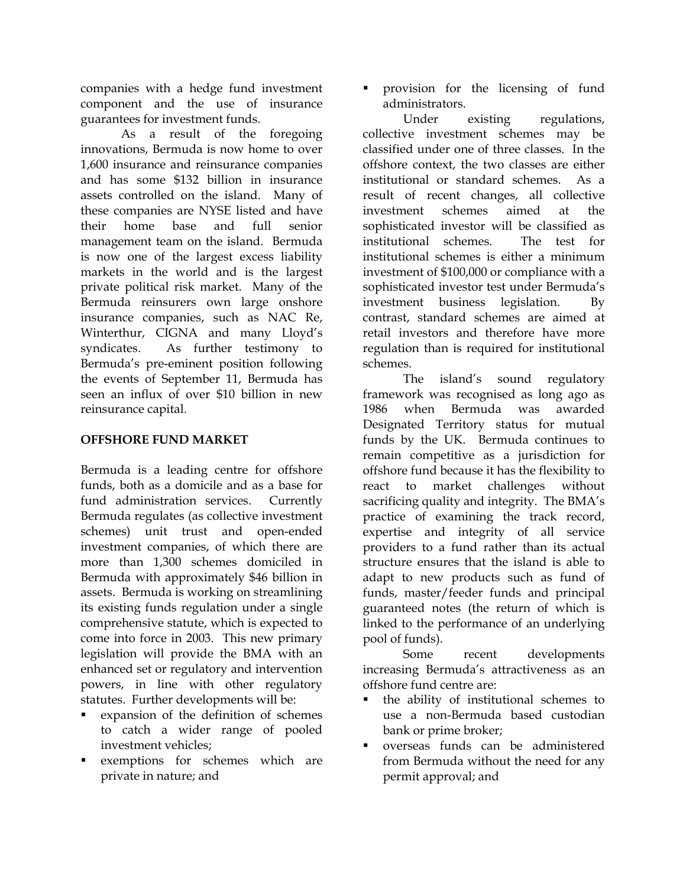companies with a hedge fund investment component and the use of insurance guarantees for investment funds.

As a result of the foregoing innovations, Bermuda is now home to over 1,600 insurance and reinsurance companies and has some \$132 billion in insurance assets controlled on the island. Many of these companies are NYSE listed and have their home base and full senior management team on the island. Bermuda is now one of the largest excess liability markets in the world and is the largest private political risk market. Many of the Bermuda reinsurers own large onshore insurance companies, such as NAC Re, Winterthur, CIGNA and many Lloyd's syndicates. As further testimony to Bermuda's pre-eminent position following the events of September 11, Bermuda has seen an influx of over \$10 billion in new reinsurance capital.

### **OFFSHORE FUND MARKET**

Bermuda is a leading centre for offshore funds, both as a domicile and as a base for fund administration services. Currently Bermuda regulates (as collective investment schemes) unit trust and open-ended investment companies, of which there are more than 1,300 schemes domiciled in Bermuda with approximately \$46 billion in assets. Bermuda is working on streamlining its existing funds regulation under a single comprehensive statute, which is expected to come into force in 2003. This new primary legislation will provide the BMA with an enhanced set or regulatory and intervention powers, in line with other regulatory statutes. Further developments will be:

- expansion of the definition of schemes to catch a wider range of pooled investment vehicles;
- exemptions for schemes which are private in nature; and

**peroperate 1** provision for the licensing of fund administrators.

 Under existing regulations, collective investment schemes may be classified under one of three classes. In the offshore context, the two classes are either institutional or standard schemes. As a result of recent changes, all collective investment schemes aimed at the sophisticated investor will be classified as institutional schemes. The test for institutional schemes is either a minimum investment of \$100,000 or compliance with a sophisticated investor test under Bermuda's investment business legislation. By contrast, standard schemes are aimed at retail investors and therefore have more regulation than is required for institutional schemes.

 The island's sound regulatory framework was recognised as long ago as 1986 when Bermuda was awarded Designated Territory status for mutual funds by the UK. Bermuda continues to remain competitive as a jurisdiction for offshore fund because it has the flexibility to react to market challenges without sacrificing quality and integrity. The BMA's practice of examining the track record, expertise and integrity of all service providers to a fund rather than its actual structure ensures that the island is able to adapt to new products such as fund of funds, master/feeder funds and principal guaranteed notes (the return of which is linked to the performance of an underlying pool of funds).

 Some recent developments increasing Bermuda's attractiveness as an offshore fund centre are:

- the ability of institutional schemes to use a non-Bermuda based custodian bank or prime broker;
- overseas funds can be administered from Bermuda without the need for any permit approval; and